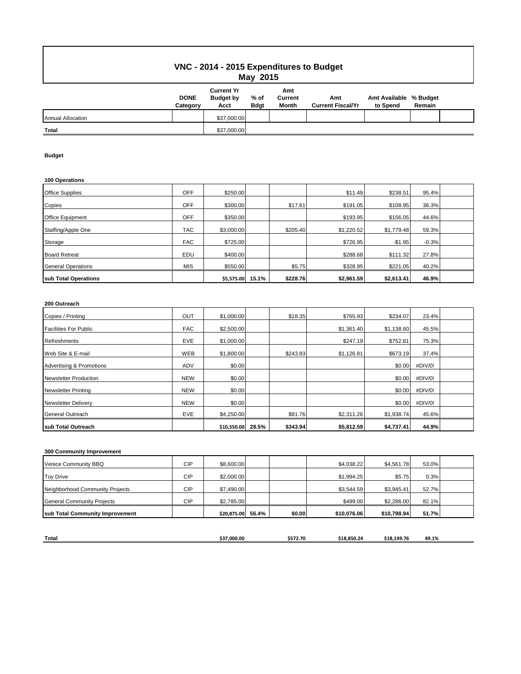## **VNC - 2014 - 2015 Expenditures to Budget May 2015**

|                          | <b>DONE</b><br>Category | <b>Current Yr</b><br><b>Budget by</b><br>Acct | % of<br><b>B</b> dgt | Amt<br>Current<br>Month | Amt<br><b>Current Fiscal/Yr</b> | Amt Available % Budget<br>to Spend | Remain |  |
|--------------------------|-------------------------|-----------------------------------------------|----------------------|-------------------------|---------------------------------|------------------------------------|--------|--|
| <b>Annual Allocation</b> |                         | \$37,000.00                                   |                      |                         |                                 |                                    |        |  |
| Total                    |                         | \$37,000.00                                   |                      |                         |                                 |                                    |        |  |

### **Budget**

#### **100 Operations**

| <b>Office Supplies</b>    | <b>OFF</b> | \$250.00   |       |          | \$11.49    | \$238.51   | 95.4%   |  |
|---------------------------|------------|------------|-------|----------|------------|------------|---------|--|
| Copies                    | <b>OFF</b> | \$300.00   |       | \$17.61  | \$191.05   | \$108.95   | 36.3%   |  |
| <b>Office Equipment</b>   | <b>OFF</b> | \$350.00   |       |          | \$193.95   | \$156.05   | 44.6%   |  |
| Staffing/Apple One        | <b>TAC</b> | \$3,000.00 |       | \$205.40 | \$1.220.52 | \$1,779.48 | 59.3%   |  |
| Storage                   | <b>FAC</b> | \$725.00   |       |          | \$726.95   | $-$1.95$   | $-0.3%$ |  |
| <b>Board Retreat</b>      | EDU        | \$400.00   |       |          | \$288.68   | \$111.32   | 27.8%   |  |
| <b>General Operations</b> | <b>MIS</b> | \$550.00   |       | \$5.75   | \$328.95   | \$221.05   | 40.2%   |  |
| sub Total Operations      |            | \$5,575.00 | 15.1% | \$228.76 | \$2,961.59 | \$2,613.41 | 46.9%   |  |

### **200 Outreach**

| Copies / Printing            | OUT        | \$1,000.00  |       | \$18.35  | \$765.93   | \$234.07   | 23.4%   |  |
|------------------------------|------------|-------------|-------|----------|------------|------------|---------|--|
| <b>Facilities For Public</b> | <b>FAC</b> | \$2,500.00  |       |          | \$1,361.40 | \$1,138.60 | 45.5%   |  |
| <b>Refreshments</b>          | <b>EVE</b> | \$1,000.00  |       |          | \$247.19   | \$752.81   | 75.3%   |  |
| Web Site & E-mail            | WEB        | \$1,800.00  |       | \$243.83 | \$1,126.81 | \$673.19   | 37.4%   |  |
| Advertising & Promotions     | <b>ADV</b> | \$0.00      |       |          |            | \$0.00     | #DIV/0! |  |
| <b>Newsletter Production</b> | <b>NEW</b> | \$0.00      |       |          |            | \$0.00     | #DIV/0! |  |
| <b>Newsletter Printing</b>   | <b>NEW</b> | \$0.00      |       |          |            | \$0.00     | #DIV/0! |  |
| <b>Newsletter Delivery</b>   | <b>NEW</b> | \$0.00      |       |          |            | \$0.00     | #DIV/0! |  |
| <b>General Outreach</b>      | <b>EVE</b> | \$4,250.00  |       | \$81.76  | \$2,311.26 | \$1,938.74 | 45.6%   |  |
| sub Total Outreach           |            | \$10,550.00 | 28.5% | \$343.94 | \$5,812.59 | \$4,737.41 | 44.9%   |  |

### **300 Community Improvement**

| <b>General Community Projects</b><br>sub Total Community Improvement | <b>CIP</b> | \$2,785.00<br>\$20,875.00 | 56.4% | \$0.00 | \$499.00<br>\$10,076.06 | \$2,286.00<br>\$10,798.94 | 82.1%<br>51.7% |  |
|----------------------------------------------------------------------|------------|---------------------------|-------|--------|-------------------------|---------------------------|----------------|--|
| Neighborhood Community Projects                                      |            | \$7,490.00                |       |        |                         | \$3,945.41                |                |  |
|                                                                      | <b>CIP</b> |                           |       |        | \$3.544.59              |                           | 52.7%          |  |
| <b>Toy Drive</b>                                                     | <b>CIP</b> | \$2,000.00                |       |        | \$1,994.25              | \$5.75                    | 0.3%           |  |
| Venice Community BBQ                                                 | <b>CIP</b> | \$8,600.00                |       |        | \$4,038.22              | \$4,561.78                | 53.0%          |  |

| <b>Total</b> |             |          |           |             |       |
|--------------|-------------|----------|-----------|-------------|-------|
|              | \$37,000.00 | \$572.70 | 18.850.24 | \$18.149.76 | 49.1% |
|              |             |          |           |             |       |